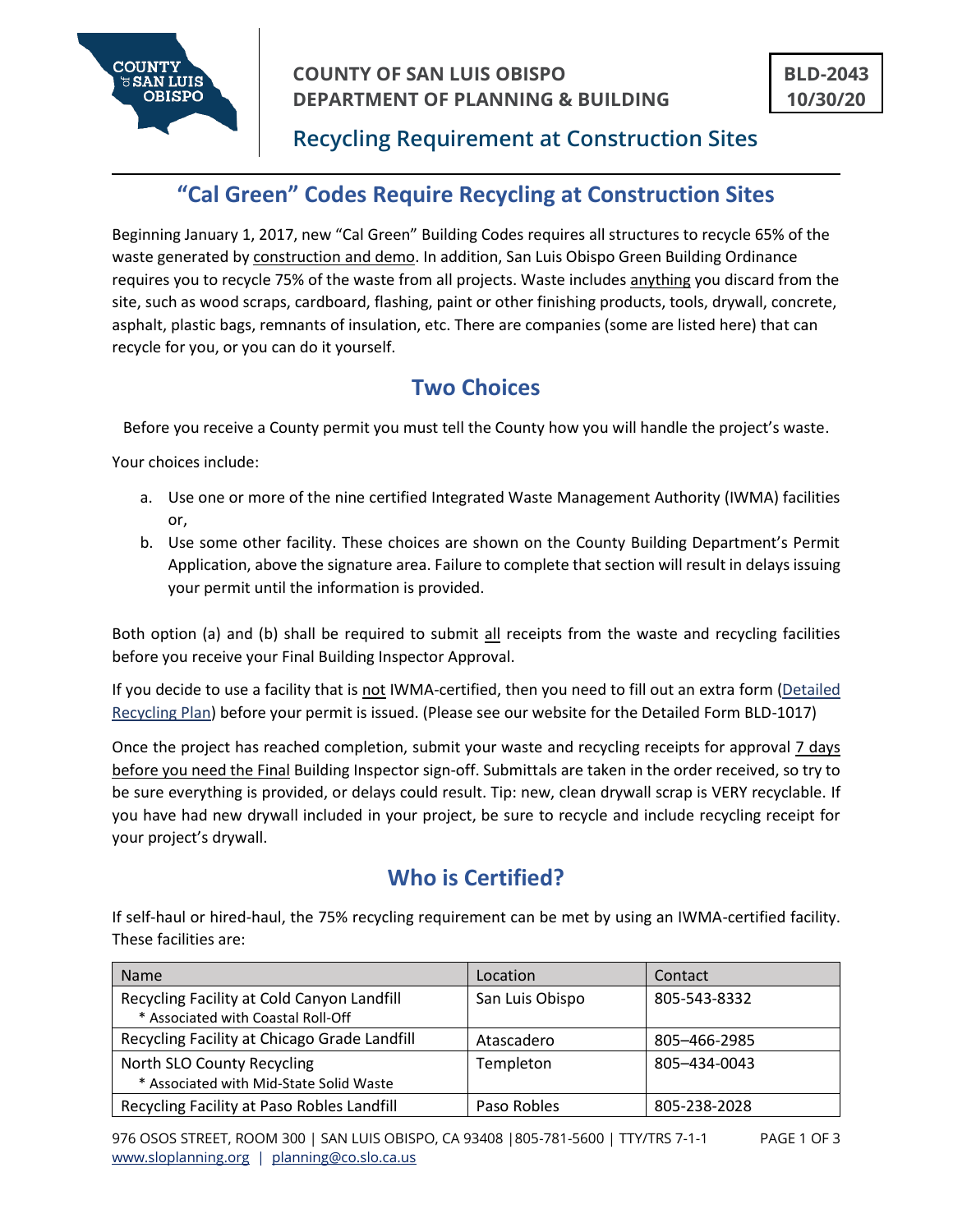

# **Recycling Requirement at Construction Sites**

# **"Cal Green" Codes Require Recycling at Construction Sites**

Beginning January 1, 2017, new "Cal Green" Building Codes requires all structures to recycle 65% of the waste generated by construction and demo. In addition, San Luis Obispo Green Building Ordinance requires you to recycle 75% of the waste from all projects. Waste includes anything you discard from the site, such as wood scraps, cardboard, flashing, paint or other finishing products, tools, drywall, concrete, asphalt, plastic bags, remnants of insulation, etc. There are companies (some are listed here) that can recycle for you, or you can do it yourself.

# **Two Choices**

Before you receive a County permit you must tell the County how you will handle the project's waste.

Your choices include:

- a. Use one or more of the nine certified Integrated Waste Management Authority (IWMA) facilities or,
- b. Use some other facility. These choices are shown on the County Building Department's Permit Application, above the signature area. Failure to complete that section will result in delays issuing your permit until the information is provided.

Both option (a) and (b) shall be required to submit all receipts from the waste and recycling facilities before you receive your Final Building Inspector Approval.

If you decide to use a facility that is not IWMA-certified, then you need to fill out an extra form [\(Detailed](file:///C:/Users/saldana/Desktop/Recycling/2012%20Detailed%20Form-BD.doc)  [Recycling Plan\)](file:///C:/Users/saldana/Desktop/Recycling/2012%20Detailed%20Form-BD.doc) before your permit is issued. (Please see our website for the Detailed Form BLD-1017)

Once the project has reached completion, submit your waste and recycling receipts for approval 7 days before you need the Final Building Inspector sign-off. Submittals are taken in the order received, so try to be sure everything is provided, or delays could result. Tip: new, clean drywall scrap is VERY recyclable. If you have had new drywall included in your project, be sure to recycle and include recycling receipt for your project's drywall.

# **Who is Certified?**

If self-haul or hired-haul, the 75% recycling requirement can be met by using an IWMA-certified facility. These facilities are:

| <b>Name</b>                                                                      | Location        | Contact      |
|----------------------------------------------------------------------------------|-----------------|--------------|
| Recycling Facility at Cold Canyon Landfill<br>* Associated with Coastal Roll-Off | San Luis Obispo | 805-543-8332 |
| Recycling Facility at Chicago Grade Landfill                                     | Atascadero      | 805-466-2985 |
| North SLO County Recycling<br>* Associated with Mid-State Solid Waste            | Templeton       | 805-434-0043 |
| Recycling Facility at Paso Robles Landfill                                       | Paso Robles     | 805-238-2028 |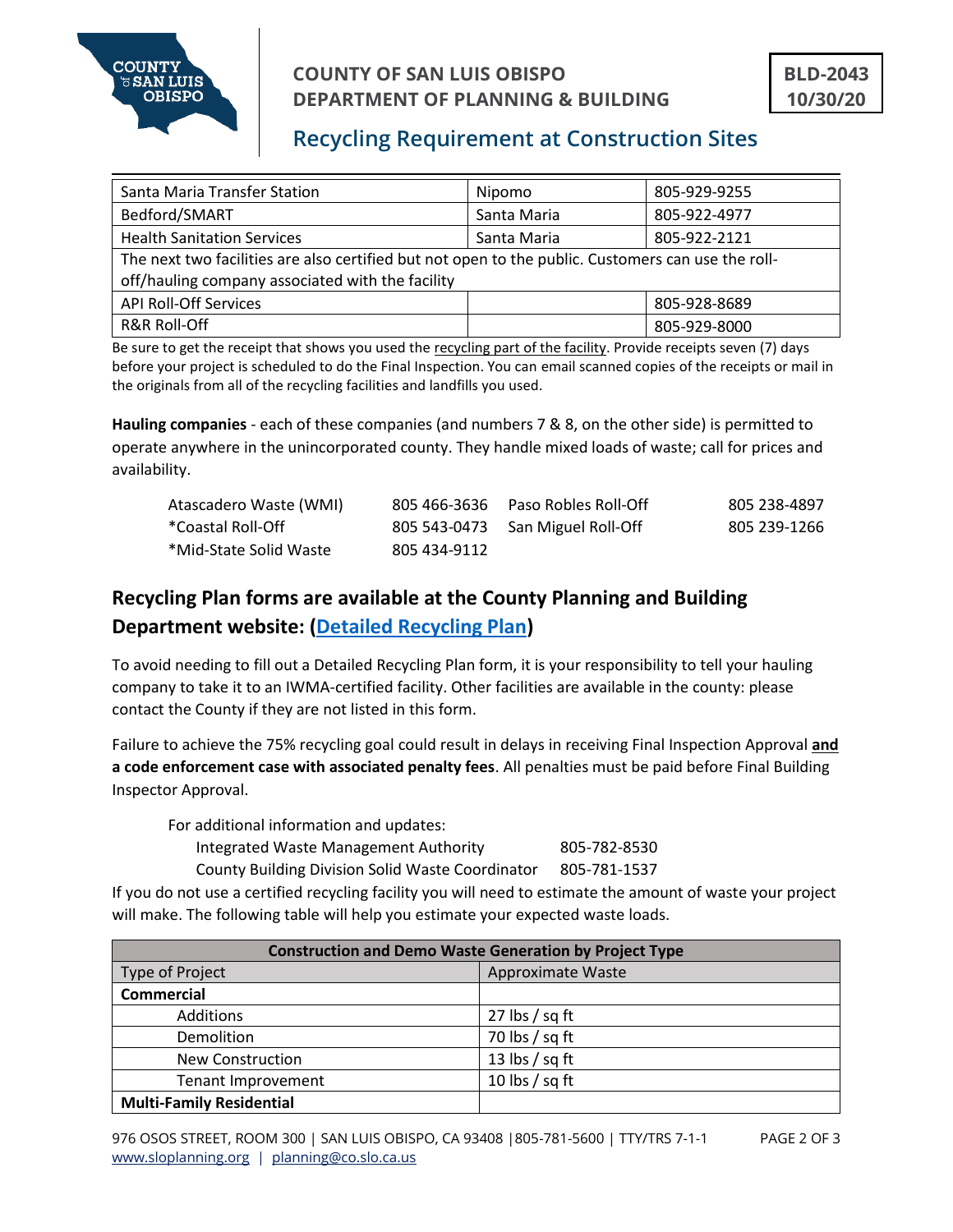

### **COUNTY OF SAN LUIS OBISPO DEPARTMENT OF PLANNING & BUILDING**

# **Recycling Requirement at Construction Sites**

| Santa Maria Transfer Station                                                                                                                           | Nipomo      | 805-929-9255 |
|--------------------------------------------------------------------------------------------------------------------------------------------------------|-------------|--------------|
| Bedford/SMART                                                                                                                                          | Santa Maria | 805-922-4977 |
| <b>Health Sanitation Services</b>                                                                                                                      | Santa Maria | 805-922-2121 |
| The next two facilities are also certified but not open to the public. Customers can use the roll-<br>off/hauling company associated with the facility |             |              |
| <b>API Roll-Off Services</b>                                                                                                                           |             | 805-928-8689 |
| <b>R&amp;R Roll-Off</b>                                                                                                                                |             | 805-929-8000 |

Be sure to get the receipt that shows you used the recycling part of the facility. Provide receipts seven (7) days before your project is scheduled to do the Final Inspection. You can email scanned copies of the receipts or mail in the originals from all of the recycling facilities and landfills you used.

**Hauling companies** - each of these companies (and numbers 7 & 8, on the other side) is permitted to operate anywhere in the unincorporated county. They handle mixed loads of waste; call for prices and availability.

| Atascadero Waste (WMI) |              | 805 466-3636  Paso Robles Roll-Off | 805 238-4897 |
|------------------------|--------------|------------------------------------|--------------|
| *Coastal Roll-Off      |              | 805 543-0473 San Miguel Roll-Off   | 805 239-1266 |
| *Mid-State Solid Waste | 805 434-9112 |                                    |              |

## **Recycling Plan forms are available at the County Planning and Building Department website: [\(Detailed Recycling Plan\)](file:///C:/Users/saldana/Desktop/Recycling/2012%20Detailed%20Form-BD.doc)**

To avoid needing to fill out a Detailed Recycling Plan form, it is your responsibility to tell your hauling company to take it to an IWMA-certified facility. Other facilities are available in the county: please contact the County if they are not listed in this form.

Failure to achieve the 75% recycling goal could result in delays in receiving Final Inspection Approval **and a code enforcement case with associated penalty fees**. All penalties must be paid before Final Building Inspector Approval.

For additional information and updates:

Integrated Waste Management Authority 805-782-8530

County Building Division Solid Waste Coordinator 805-781-1537

If you do not use a certified recycling facility you will need to estimate the amount of waste your project will make. The following table will help you estimate your expected waste loads.

| <b>Construction and Demo Waste Generation by Project Type</b> |                   |  |
|---------------------------------------------------------------|-------------------|--|
| Type of Project                                               | Approximate Waste |  |
| <b>Commercial</b>                                             |                   |  |
| Additions                                                     | 27 lbs $/$ sq ft  |  |
| Demolition                                                    | 70 lbs $/$ sq ft  |  |
| <b>New Construction</b>                                       | 13 lbs $/$ sq ft  |  |
| <b>Tenant Improvement</b>                                     | 10 lbs $/$ sq ft  |  |
| <b>Multi-Family Residential</b>                               |                   |  |